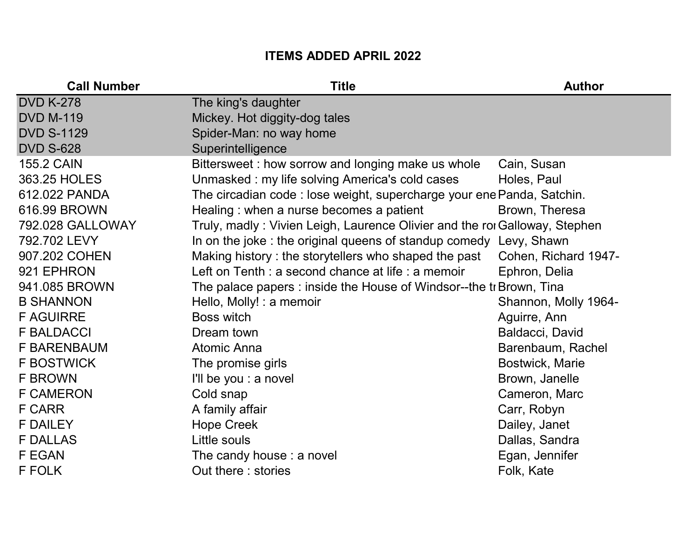## ITEMS ADDED APRIL 2022

| <b>Call Number</b> | <b>Title</b>                                                               | <b>Author</b>          |
|--------------------|----------------------------------------------------------------------------|------------------------|
| <b>DVD K-278</b>   | The king's daughter                                                        |                        |
| <b>DVD M-119</b>   | Mickey. Hot diggity-dog tales                                              |                        |
| <b>DVD S-1129</b>  | Spider-Man: no way home                                                    |                        |
| <b>DVD S-628</b>   | Superintelligence                                                          |                        |
| <b>155.2 CAIN</b>  | Bittersweet: how sorrow and longing make us whole                          | Cain, Susan            |
| 363.25 HOLES       | Unmasked: my life solving America's cold cases                             | Holes, Paul            |
| 612.022 PANDA      | The circadian code : lose weight, supercharge your ene Panda, Satchin.     |                        |
| 616.99 BROWN       | Healing: when a nurse becomes a patient                                    | Brown, Theresa         |
| 792.028 GALLOWAY   | Truly, madly: Vivien Leigh, Laurence Olivier and the roi Galloway, Stephen |                        |
| 792.702 LEVY       | In on the joke: the original queens of standup comedy Levy, Shawn          |                        |
| 907.202 COHEN      | Making history: the storytellers who shaped the past                       | Cohen, Richard 1947-   |
| 921 EPHRON         | Left on Tenth : a second chance at life : a memoir                         | Ephron, Delia          |
| 941.085 BROWN      | The palace papers : inside the House of Windsor--the tr Brown, Tina        |                        |
| <b>B SHANNON</b>   | Hello, Molly! : a memoir                                                   | Shannon, Molly 1964-   |
| <b>F AGUIRRE</b>   | Boss witch                                                                 | Aguirre, Ann           |
| <b>F BALDACCI</b>  | Dream town                                                                 | Baldacci, David        |
| <b>F BARENBAUM</b> | <b>Atomic Anna</b>                                                         | Barenbaum, Rachel      |
| <b>F BOSTWICK</b>  | The promise girls                                                          | <b>Bostwick, Marie</b> |
| <b>F BROWN</b>     | I'll be you : a novel                                                      | Brown, Janelle         |
| <b>F CAMERON</b>   | Cold snap                                                                  | Cameron, Marc          |
| <b>F CARR</b>      | A family affair                                                            | Carr, Robyn            |
| <b>F DAILEY</b>    | <b>Hope Creek</b>                                                          | Dailey, Janet          |
| <b>F DALLAS</b>    | Little souls                                                               | Dallas, Sandra         |
| <b>F EGAN</b>      | The candy house : a novel                                                  | Egan, Jennifer         |
| <b>F FOLK</b>      | Out there: stories                                                         | Folk, Kate             |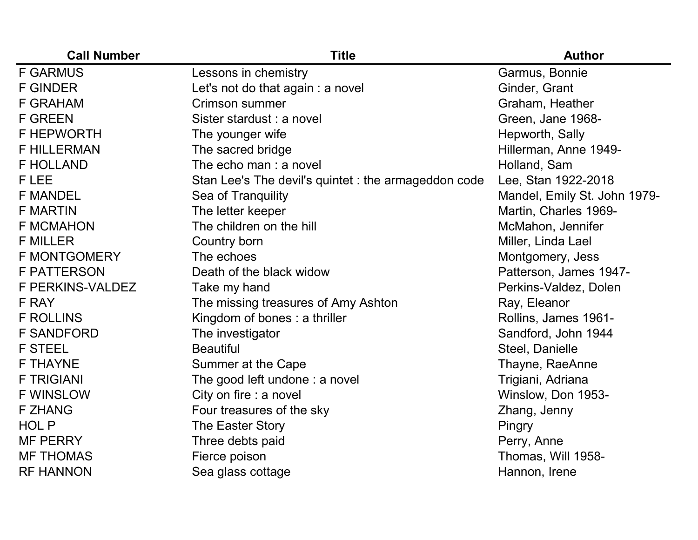| <b>Call Number</b>  | <b>Title</b>                                         | <b>Author</b>                |
|---------------------|------------------------------------------------------|------------------------------|
| <b>F GARMUS</b>     | Lessons in chemistry                                 | Garmus, Bonnie               |
| <b>F GINDER</b>     | Let's not do that again : a novel                    | Ginder, Grant                |
| <b>F GRAHAM</b>     | Crimson summer                                       | Graham, Heather              |
| <b>F GREEN</b>      | Sister stardust : a novel                            | Green, Jane 1968-            |
| <b>F HEPWORTH</b>   | The younger wife                                     | Hepworth, Sally              |
| <b>F HILLERMAN</b>  | The sacred bridge                                    | Hillerman, Anne 1949-        |
| <b>F HOLLAND</b>    | The echo man : a novel                               | Holland, Sam                 |
| F LEE               | Stan Lee's The devil's quintet : the armageddon code | Lee, Stan 1922-2018          |
| <b>F MANDEL</b>     | Sea of Tranquility                                   | Mandel, Emily St. John 1979- |
| <b>F MARTIN</b>     | The letter keeper                                    | Martin, Charles 1969-        |
| <b>F MCMAHON</b>    | The children on the hill                             | McMahon, Jennifer            |
| <b>F MILLER</b>     | Country born                                         | Miller, Linda Lael           |
| <b>F MONTGOMERY</b> | The echoes                                           | Montgomery, Jess             |
| <b>F PATTERSON</b>  | Death of the black widow                             | Patterson, James 1947-       |
| F PERKINS-VALDEZ    | Take my hand                                         | Perkins-Valdez, Dolen        |
| F RAY               | The missing treasures of Amy Ashton                  | Ray, Eleanor                 |
| <b>F ROLLINS</b>    | Kingdom of bones: a thriller                         | Rollins, James 1961-         |
| <b>F SANDFORD</b>   | The investigator                                     | Sandford, John 1944          |
| <b>F STEEL</b>      | <b>Beautiful</b>                                     | Steel, Danielle              |
| <b>F THAYNE</b>     | Summer at the Cape                                   | Thayne, RaeAnne              |
| <b>F TRIGIANI</b>   | The good left undone : a novel                       | Trigiani, Adriana            |
| <b>F WINSLOW</b>    | City on fire : a novel                               | Winslow, Don 1953-           |
| <b>F ZHANG</b>      | Four treasures of the sky                            | Zhang, Jenny                 |
| HOL P               | The Easter Story                                     | Pingry                       |
| <b>MF PERRY</b>     | Three debts paid                                     | Perry, Anne                  |
| <b>MF THOMAS</b>    | Fierce poison                                        | Thomas, Will 1958-           |
| <b>RF HANNON</b>    | Sea glass cottage                                    | Hannon, Irene                |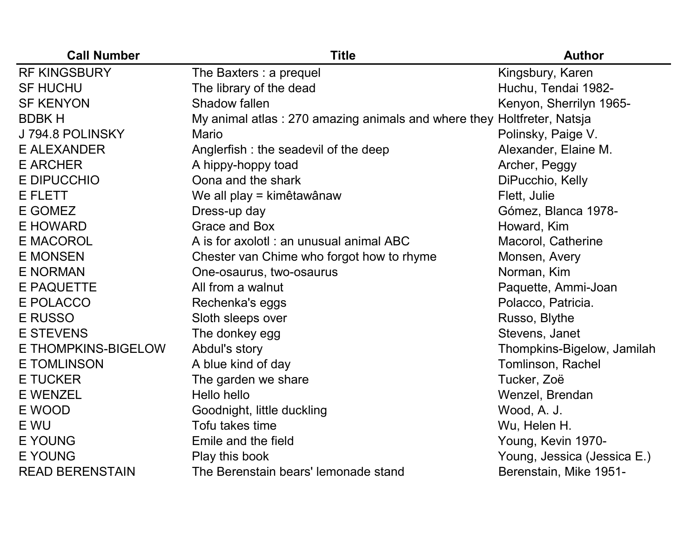| <b>Call Number</b>     | <b>Title</b>                                        | <b>Author</b>               |
|------------------------|-----------------------------------------------------|-----------------------------|
| <b>RF KINGSBURY</b>    | The Baxters : a prequel                             | Kingsbury, Karen            |
| <b>SF HUCHU</b>        | The library of the dead                             | Huchu, Tendai 1982-         |
| <b>SF KENYON</b>       | Shadow fallen                                       | Kenyon, Sherrilyn 1965-     |
| <b>BDBKH</b>           | My animal atlas: 270 amazing animals and where they | Holtfreter, Natsja          |
| J 794.8 POLINSKY       | <b>Mario</b>                                        | Polinsky, Paige V.          |
| <b>E ALEXANDER</b>     | Anglerfish: the seadevil of the deep                | Alexander, Elaine M.        |
| <b>E ARCHER</b>        | A hippy-hoppy toad                                  | Archer, Peggy               |
| E DIPUCCHIO            | Oona and the shark                                  | DiPucchio, Kelly            |
| <b>E FLETT</b>         | We all play = kimêtawânaw                           | Flett, Julie                |
| E GOMEZ                | Dress-up day                                        | Gómez, Blanca 1978-         |
| E HOWARD               | <b>Grace and Box</b>                                | Howard, Kim                 |
| <b>E MACOROL</b>       | A is for axolotl : an unusual animal ABC            | Macorol, Catherine          |
| <b>E MONSEN</b>        | Chester van Chime who forgot how to rhyme           | Monsen, Avery               |
| <b>E NORMAN</b>        | One-osaurus, two-osaurus                            | Norman, Kim                 |
| <b>E PAQUETTE</b>      | All from a walnut                                   | Paquette, Ammi-Joan         |
| E POLACCO              | Rechenka's eggs                                     | Polacco, Patricia.          |
| <b>E RUSSO</b>         | Sloth sleeps over                                   | Russo, Blythe               |
| <b>E STEVENS</b>       | The donkey egg                                      | Stevens, Janet              |
| E THOMPKINS-BIGELOW    | Abdul's story                                       | Thompkins-Bigelow, Jamilah  |
| <b>E TOMLINSON</b>     | A blue kind of day                                  | Tomlinson, Rachel           |
| <b>E TUCKER</b>        | The garden we share                                 | Tucker, Zoë                 |
| <b>E WENZEL</b>        | Hello hello                                         | Wenzel, Brendan             |
| E WOOD                 | Goodnight, little duckling                          | Wood, A. J.                 |
| E WU                   | Tofu takes time                                     | Wu, Helen H.                |
| <b>E YOUNG</b>         | Emile and the field                                 | Young, Kevin 1970-          |
| <b>E YOUNG</b>         | Play this book                                      | Young, Jessica (Jessica E.) |
| <b>READ BERENSTAIN</b> | The Berenstain bears' lemonade stand                | Berenstain, Mike 1951-      |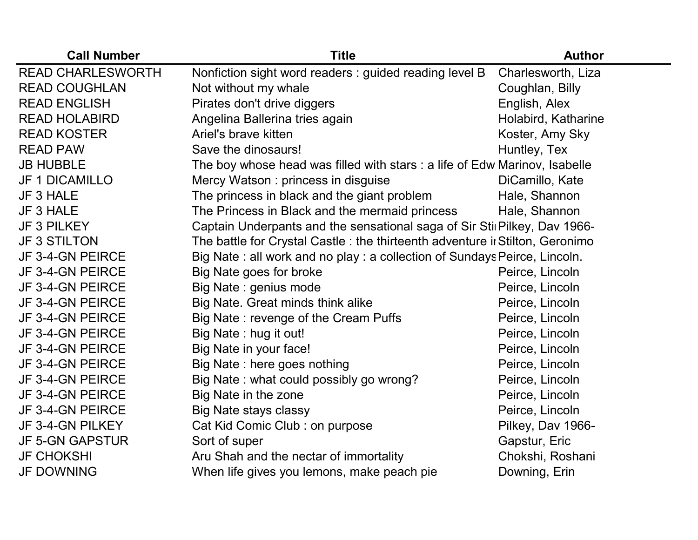| <b>Call Number</b>       | <b>Title</b>                                                                  | <b>Author</b>       |
|--------------------------|-------------------------------------------------------------------------------|---------------------|
| <b>READ CHARLESWORTH</b> | Nonfiction sight word readers: guided reading level B                         | Charlesworth, Liza  |
| <b>READ COUGHLAN</b>     | Not without my whale                                                          | Coughlan, Billy     |
| <b>READ ENGLISH</b>      | Pirates don't drive diggers                                                   | English, Alex       |
| <b>READ HOLABIRD</b>     | Angelina Ballerina tries again                                                | Holabird, Katharine |
| <b>READ KOSTER</b>       | Ariel's brave kitten                                                          | Koster, Amy Sky     |
| <b>READ PAW</b>          | Save the dinosaurs!                                                           | Huntley, Tex        |
| <b>JB HUBBLE</b>         | The boy whose head was filled with stars : a life of Edw Marinov, Isabelle    |                     |
| <b>JF 1 DICAMILLO</b>    | Mercy Watson: princess in disguise                                            | DiCamillo, Kate     |
| JF 3 HALE                | The princess in black and the giant problem                                   | Hale, Shannon       |
| JF 3 HALE                | The Princess in Black and the mermaid princess                                | Hale, Shannon       |
| <b>JF 3 PILKEY</b>       | Captain Underpants and the sensational saga of Sir Stil Pilkey, Dav 1966-     |                     |
| <b>JF 3 STILTON</b>      | The battle for Crystal Castle : the thirteenth adventure ii Stilton, Geronimo |                     |
| JF 3-4-GN PEIRCE         | Big Nate: all work and no play: a collection of Sundays Peirce, Lincoln.      |                     |
| JF 3-4-GN PEIRCE         | Big Nate goes for broke                                                       | Peirce, Lincoln     |
| JF 3-4-GN PEIRCE         | Big Nate: genius mode                                                         | Peirce, Lincoln     |
| JF 3-4-GN PEIRCE         | Big Nate. Great minds think alike                                             | Peirce, Lincoln     |
| JF 3-4-GN PEIRCE         | Big Nate: revenge of the Cream Puffs                                          | Peirce, Lincoln     |
| JF 3-4-GN PEIRCE         | Big Nate: hug it out!                                                         | Peirce, Lincoln     |
| JF 3-4-GN PEIRCE         | Big Nate in your face!                                                        | Peirce, Lincoln     |
| JF 3-4-GN PEIRCE         | Big Nate: here goes nothing                                                   | Peirce, Lincoln     |
| JF 3-4-GN PEIRCE         | Big Nate: what could possibly go wrong?                                       | Peirce, Lincoln     |
| JF 3-4-GN PEIRCE         | Big Nate in the zone                                                          | Peirce, Lincoln     |
| JF 3-4-GN PEIRCE         | <b>Big Nate stays classy</b>                                                  | Peirce, Lincoln     |
| JF 3-4-GN PILKEY         | Cat Kid Comic Club : on purpose                                               | Pilkey, Dav 1966-   |
| <b>JF 5-GN GAPSTUR</b>   | Sort of super                                                                 | Gapstur, Eric       |
| <b>JF CHOKSHI</b>        | Aru Shah and the nectar of immortality                                        | Chokshi, Roshani    |
| <b>JF DOWNING</b>        | When life gives you lemons, make peach pie                                    | Downing, Erin       |